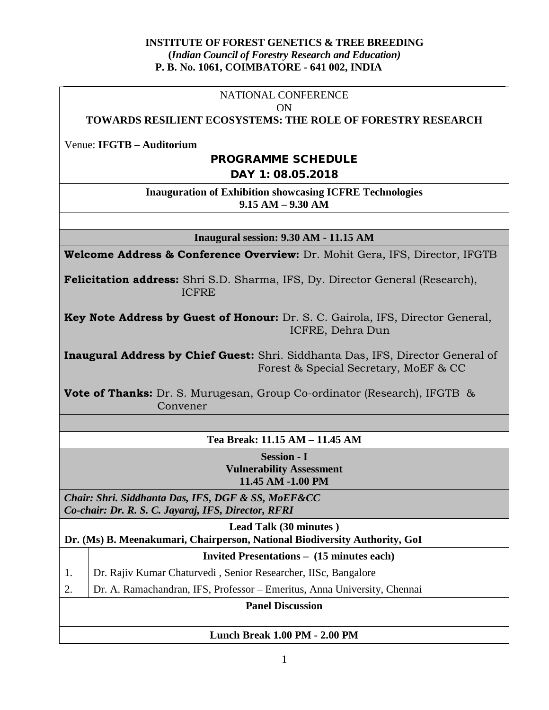#### **INSTITUTE OF FOREST GENETICS & TREE BREEDING (***Indian Council of Forestry Research and Education)* **P. B. No. 1061, COIMBATORE - 641 002, INDIA**

#### NATIONAL CONFERENCE ON

#### **TOWARDS RESILIENT ECOSYSTEMS: THE ROLE OF FORESTRY RESEARCH**

Venue: **IFGTB – Auditorium**

### PROGRAMME SCHEDULE

DAY 1: 08.05.2018

#### **Inauguration of Exhibition showcasing ICFRE Technologies 9.15 AM – 9.30 AM**

**Inaugural session: 9.30 AM - 11.15 AM**

**Welcome Address & Conference Overview:** Dr. Mohit Gera, IFS, Director, IFGTB

**Felicitation address:** Shri S.D. Sharma, IFS, Dy. Director General (Research), ICFRE

**Key Note Address by Guest of Honour:** Dr. S. C. Gairola, IFS, Director General, ICFRE, Dehra Dun

**Inaugural Address by Chief Guest:** Shri. Siddhanta Das, IFS, Director General of Forest & Special Secretary, MoEF & CC

**Vote of Thanks:** Dr. S. Murugesan, Group Co-ordinator (Research), IFGTB & Convener

#### **Tea Break: 11.15 AM – 11.45 AM**

**Session - I Vulnerability Assessment 11.45 AM -1.00 PM**

*Chair: Shri. Siddhanta Das, IFS, DGF & SS, MoEF&CC Co-chair: Dr. R. S. C. Jayaraj, IFS, Director, RFRI*

**Lead Talk (30 minutes ) Dr. (Ms) B. Meenakumari, Chairperson, National Biodiversity Authority, GoI**

**Invited Presentations – (15 minutes each)**

1. Dr. Rajiv Kumar Chaturvedi , Senior Researcher, IISc, Bangalore

2. Dr. A. Ramachandran, IFS, Professor – Emeritus, Anna University, Chennai

**Panel Discussion** 

#### **Lunch Break 1.00 PM - 2.00 PM**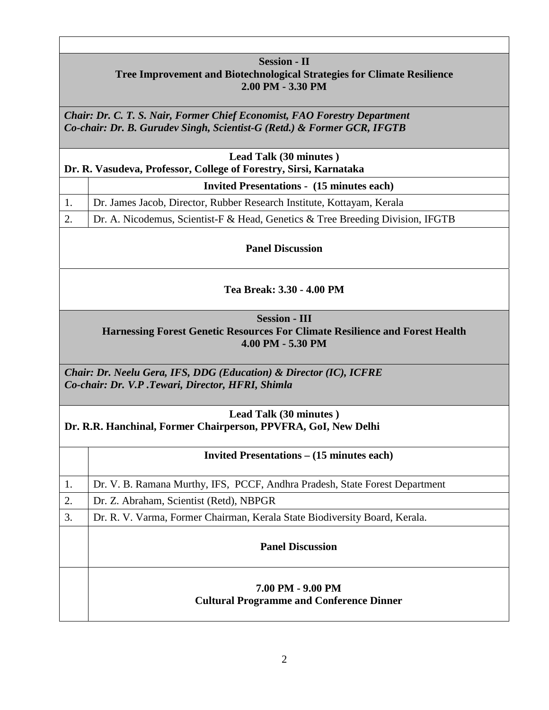# **Session - II Tree Improvement and Biotechnological Strategies for Climate Resilience 2.00 PM - 3.30 PM**

*Chair: Dr. C. T. S. Nair, Former Chief Economist, FAO Forestry Department Co-chair: Dr. B. Gurudev Singh, Scientist-G (Retd.) & Former GCR, IFGTB*

| Lead Talk (30 minutes)<br>Dr. R. Vasudeva, Professor, College of Forestry, Sirsi, Karnataka |                                                                                |  |
|---------------------------------------------------------------------------------------------|--------------------------------------------------------------------------------|--|
|                                                                                             | <b>Invited Presentations - (15 minutes each)</b>                               |  |
|                                                                                             | Dr. James Jacob, Director, Rubber Research Institute, Kottayam, Kerala         |  |
| 2.                                                                                          | Dr. A. Nicodemus, Scientist-F & Head, Genetics & Tree Breeding Division, IFGTB |  |

**Panel Discussion**

## **Tea Break: 3.30 - 4.00 PM**

**Session - III**

**Harnessing Forest Genetic Resources For Climate Resilience and Forest Health 4.00 PM - 5.30 PM**

*Chair: Dr. Neelu Gera, IFS, DDG (Education) & Director (IC), ICFRE Co-chair: Dr. V.P .Tewari, Director, HFRI, Shimla*

#### **Lead Talk (30 minutes ) Dr. R.R. Hanchinal, Former Chairperson, PPVFRA, GoI, New Delhi**

|    | Invited Presentations – (15 minutes each)                                   |
|----|-----------------------------------------------------------------------------|
| 1. | Dr. V. B. Ramana Murthy, IFS, PCCF, Andhra Pradesh, State Forest Department |
| 2. | Dr. Z. Abraham, Scientist (Retd), NBPGR                                     |
| 3. | Dr. R. V. Varma, Former Chairman, Kerala State Biodiversity Board, Kerala.  |
|    | <b>Panel Discussion</b>                                                     |
|    | 7.00 PM - 9.00 PM<br><b>Cultural Programme and Conference Dinner</b>        |